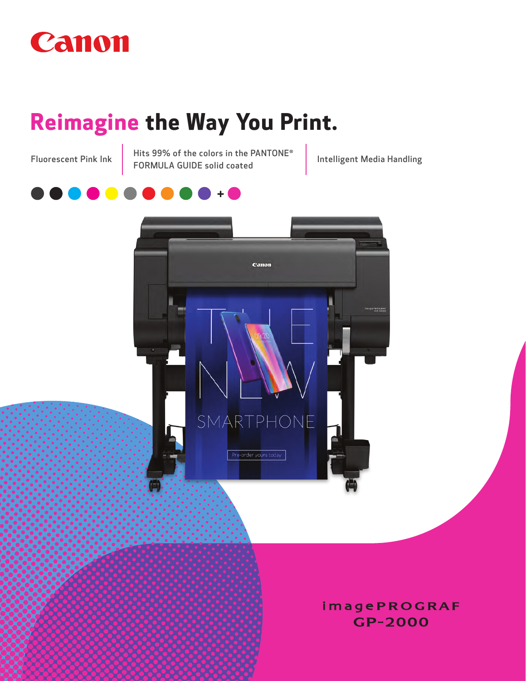

## **Reimagine the Way You Print.**

Hits 99% of the colors in the PANTONE Fluorescent Pink Ink | Hits 99% of the colors in the PANTUNE<br>FORMULA GUIDE solid coated | Intelligent Media Handling





**imagePROGRAF** GP-2000